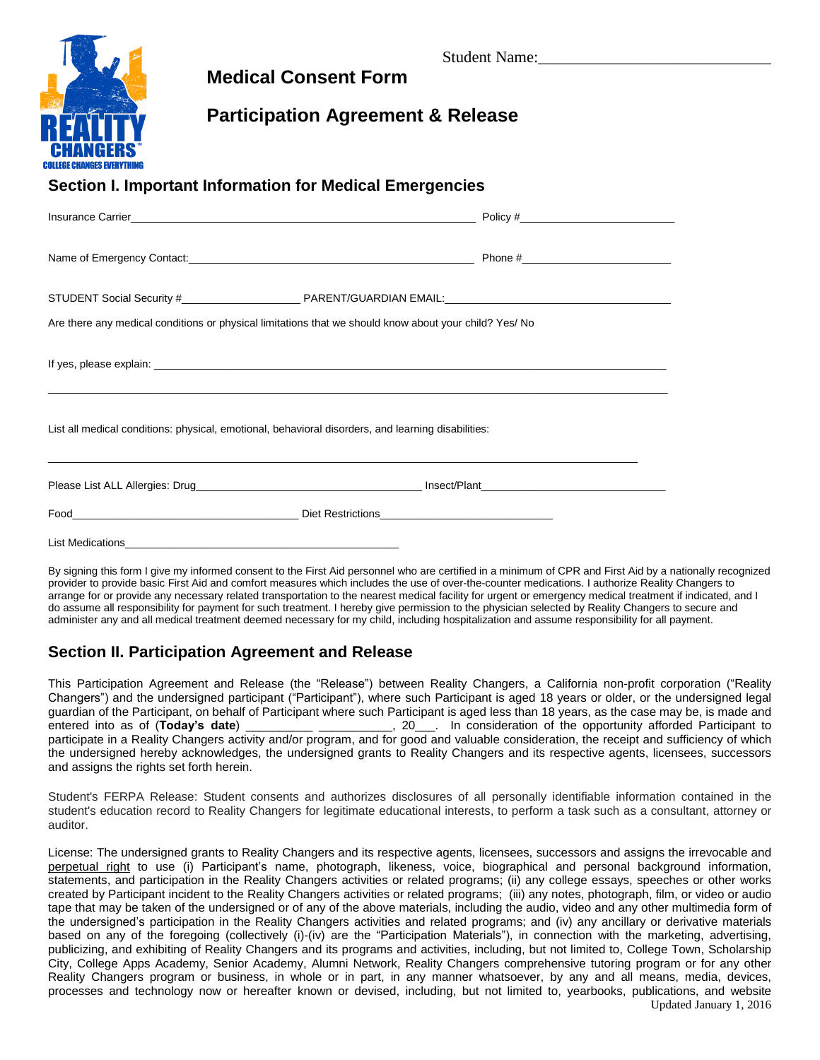

## **Medical Consent Form**

## **Participation Agreement & Release**

### **Section I. Important Information for Medical Emergencies**

| Insurance Carrier <b>Example 2018 Contract Carrier Contract Carrier Contract Carrier Carrier Carrier Contract Carrier Contract Carrier Contract Carrier Contract Carrier Contract Contract Contract Contract Contract Contract</b> |  |
|------------------------------------------------------------------------------------------------------------------------------------------------------------------------------------------------------------------------------------|--|
|                                                                                                                                                                                                                                    |  |
|                                                                                                                                                                                                                                    |  |
| Are there any medical conditions or physical limitations that we should know about your child? Yes/ No                                                                                                                             |  |
| If yes, please explain: example of the state of the state of the state of the state of the state of the state of the state of the state of the state of the state of the state of the state of the state of the state of the s     |  |
| List all medical conditions: physical, emotional, behavioral disorders, and learning disabilities:                                                                                                                                 |  |
|                                                                                                                                                                                                                                    |  |
|                                                                                                                                                                                                                                    |  |
|                                                                                                                                                                                                                                    |  |

By signing this form I give my informed consent to the First Aid personnel who are certified in a minimum of CPR and First Aid by a nationally recognized provider to provide basic First Aid and comfort measures which includes the use of over-the-counter medications. I authorize Reality Changers to arrange for or provide any necessary related transportation to the nearest medical facility for urgent or emergency medical treatment if indicated, and I do assume all responsibility for payment for such treatment. I hereby give permission to the physician selected by Reality Changers to secure and administer any and all medical treatment deemed necessary for my child, including hospitalization and assume responsibility for all payment.

## **Section II. Participation Agreement and Release**

This Participation Agreement and Release (the "Release") between Reality Changers, a California non-profit corporation ("Reality Changers") and the undersigned participant ("Participant"), where such Participant is aged 18 years or older, or the undersigned legal guardian of the Participant, on behalf of Participant where such Participant is aged less than 18 years, as the case may be, is made and entered into as of (**Today's date**) \_\_\_\_\_\_\_\_\_\_ \_\_\_\_\_\_\_\_\_\_\_, 20\_\_\_. In consideration of the opportunity afforded Participant to participate in a Reality Changers activity and/or program, and for good and valuable consideration, the receipt and sufficiency of which the undersigned hereby acknowledges, the undersigned grants to Reality Changers and its respective agents, licensees, successors and assigns the rights set forth herein.

Student's FERPA Release: Student consents and authorizes disclosures of all personally identifiable information contained in the student's education record to Reality Changers for legitimate educational interests, to perform a task such as a consultant, attorney or auditor.

Updated January 1, 2016 License: The undersigned grants to Reality Changers and its respective agents, licensees, successors and assigns the irrevocable and perpetual right to use (i) Participant's name, photograph, likeness, voice, biographical and personal background information, statements, and participation in the Reality Changers activities or related programs; (ii) any college essays, speeches or other works created by Participant incident to the Reality Changers activities or related programs; (iii) any notes, photograph, film, or video or audio tape that may be taken of the undersigned or of any of the above materials, including the audio, video and any other multimedia form of the undersigned's participation in the Reality Changers activities and related programs; and (iv) any ancillary or derivative materials based on any of the foregoing (collectively (i)-(iv) are the "Participation Materials"), in connection with the marketing, advertising, publicizing, and exhibiting of Reality Changers and its programs and activities, including, but not limited to, College Town, Scholarship City, College Apps Academy, Senior Academy, Alumni Network, Reality Changers comprehensive tutoring program or for any other Reality Changers program or business, in whole or in part, in any manner whatsoever, by any and all means, media, devices, processes and technology now or hereafter known or devised, including, but not limited to, yearbooks, publications, and website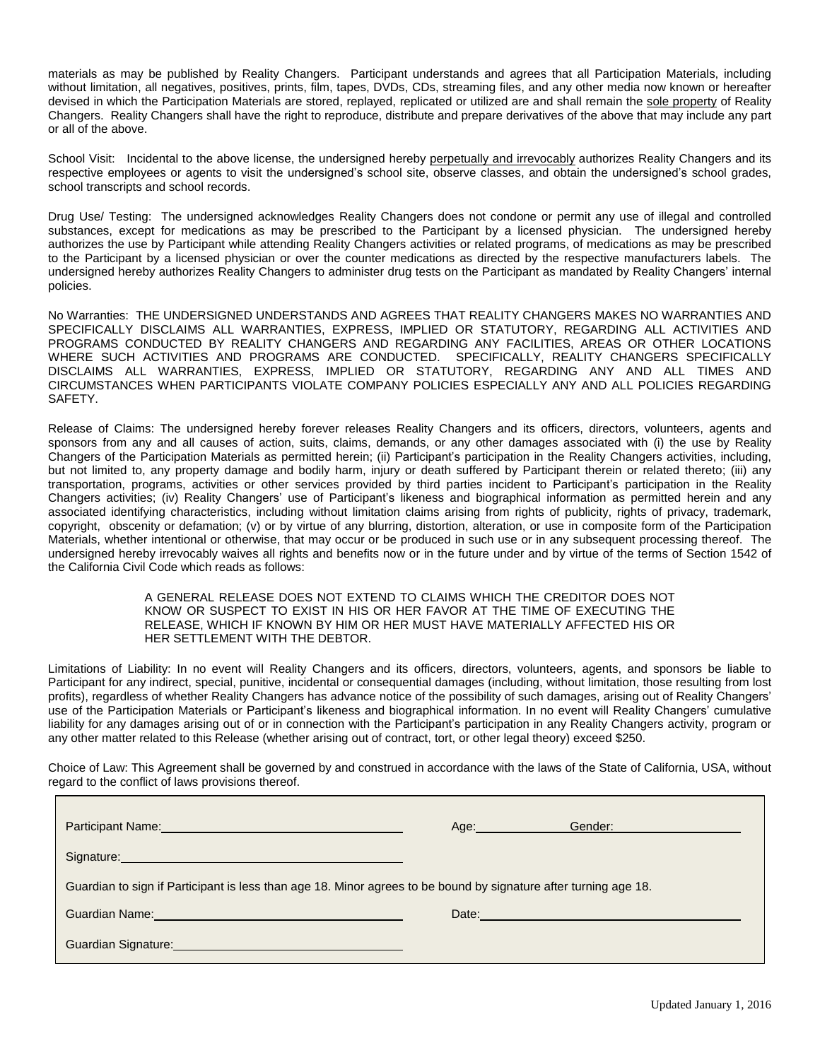materials as may be published by Reality Changers. Participant understands and agrees that all Participation Materials, including without limitation, all negatives, positives, prints, film, tapes, DVDs, CDs, streaming files, and any other media now known or hereafter devised in which the Participation Materials are stored, replayed, replicated or utilized are and shall remain the sole property of Reality Changers. Reality Changers shall have the right to reproduce, distribute and prepare derivatives of the above that may include any part or all of the above.

School Visit: Incidental to the above license, the undersigned hereby perpetually and irrevocably authorizes Reality Changers and its respective employees or agents to visit the undersigned's school site, observe classes, and obtain the undersigned's school grades, school transcripts and school records.

Drug Use/ Testing: The undersigned acknowledges Reality Changers does not condone or permit any use of illegal and controlled substances, except for medications as may be prescribed to the Participant by a licensed physician. The undersigned hereby authorizes the use by Participant while attending Reality Changers activities or related programs, of medications as may be prescribed to the Participant by a licensed physician or over the counter medications as directed by the respective manufacturers labels. The undersigned hereby authorizes Reality Changers to administer drug tests on the Participant as mandated by Reality Changers' internal policies.

No Warranties: THE UNDERSIGNED UNDERSTANDS AND AGREES THAT REALITY CHANGERS MAKES NO WARRANTIES AND SPECIFICALLY DISCLAIMS ALL WARRANTIES, EXPRESS, IMPLIED OR STATUTORY, REGARDING ALL ACTIVITIES AND PROGRAMS CONDUCTED BY REALITY CHANGERS AND REGARDING ANY FACILITIES, AREAS OR OTHER LOCATIONS WHERE SUCH ACTIVITIES AND PROGRAMS ARE CONDUCTED. SPECIFICALLY, REALITY CHANGERS SPECIFICALLY DISCLAIMS ALL WARRANTIES, EXPRESS, IMPLIED OR STATUTORY, REGARDING ANY AND ALL TIMES AND CIRCUMSTANCES WHEN PARTICIPANTS VIOLATE COMPANY POLICIES ESPECIALLY ANY AND ALL POLICIES REGARDING SAFETY.

Release of Claims: The undersigned hereby forever releases Reality Changers and its officers, directors, volunteers, agents and sponsors from any and all causes of action, suits, claims, demands, or any other damages associated with (i) the use by Reality Changers of the Participation Materials as permitted herein; (ii) Participant's participation in the Reality Changers activities, including, but not limited to, any property damage and bodily harm, injury or death suffered by Participant therein or related thereto; (iii) any transportation, programs, activities or other services provided by third parties incident to Participant's participation in the Reality Changers activities; (iv) Reality Changers' use of Participant's likeness and biographical information as permitted herein and any associated identifying characteristics, including without limitation claims arising from rights of publicity, rights of privacy, trademark, copyright, obscenity or defamation; (v) or by virtue of any blurring, distortion, alteration, or use in composite form of the Participation Materials, whether intentional or otherwise, that may occur or be produced in such use or in any subsequent processing thereof. The undersigned hereby irrevocably waives all rights and benefits now or in the future under and by virtue of the terms of Section 1542 of the California Civil Code which reads as follows:

#### A GENERAL RELEASE DOES NOT EXTEND TO CLAIMS WHICH THE CREDITOR DOES NOT KNOW OR SUSPECT TO EXIST IN HIS OR HER FAVOR AT THE TIME OF EXECUTING THE RELEASE, WHICH IF KNOWN BY HIM OR HER MUST HAVE MATERIALLY AFFECTED HIS OR HER SETTLEMENT WITH THE DEBTOR.

Limitations of Liability: In no event will Reality Changers and its officers, directors, volunteers, agents, and sponsors be liable to Participant for any indirect, special, punitive, incidental or consequential damages (including, without limitation, those resulting from lost profits), regardless of whether Reality Changers has advance notice of the possibility of such damages, arising out of Reality Changers' use of the Participation Materials or Participant's likeness and biographical information. In no event will Reality Changers' cumulative liability for any damages arising out of or in connection with the Participant's participation in any Reality Changers activity, program or any other matter related to this Release (whether arising out of contract, tort, or other legal theory) exceed \$250.

Choice of Law: This Agreement shall be governed by and construed in accordance with the laws of the State of California, USA, without regard to the conflict of laws provisions thereof.

| Participant Name: Name: Name and Security and Security and Security and Security and Security and Security and Security and Security and Security and Security and Security and Security and Security and Security and Securit       | Age: the contract of the contract of the contract of the contract of the contract of the contract of the contract of the contract of the contract of the contract of the contract of the contract of the contract of the contr | Gender:     |  |  |  |
|--------------------------------------------------------------------------------------------------------------------------------------------------------------------------------------------------------------------------------------|--------------------------------------------------------------------------------------------------------------------------------------------------------------------------------------------------------------------------------|-------------|--|--|--|
| Signature: Management of the Signature: Management of the Signature:                                                                                                                                                                 |                                                                                                                                                                                                                                |             |  |  |  |
| Guardian to sign if Participant is less than age 18. Minor agrees to be bound by signature after turning age 18.                                                                                                                     |                                                                                                                                                                                                                                |             |  |  |  |
| Guardian Name: <b>Campaign Contract Contract Contract Contract Contract Contract Contract Contract Contract Contract Contract Contract Contract Contract Contract Contract Contract Contract Contract Contract Contract Contract</b> |                                                                                                                                                                                                                                | Date: Date: |  |  |  |
| Guardian Signature: Management Control of Control of Control of Control of Control of Control of Control of Co                                                                                                                       |                                                                                                                                                                                                                                |             |  |  |  |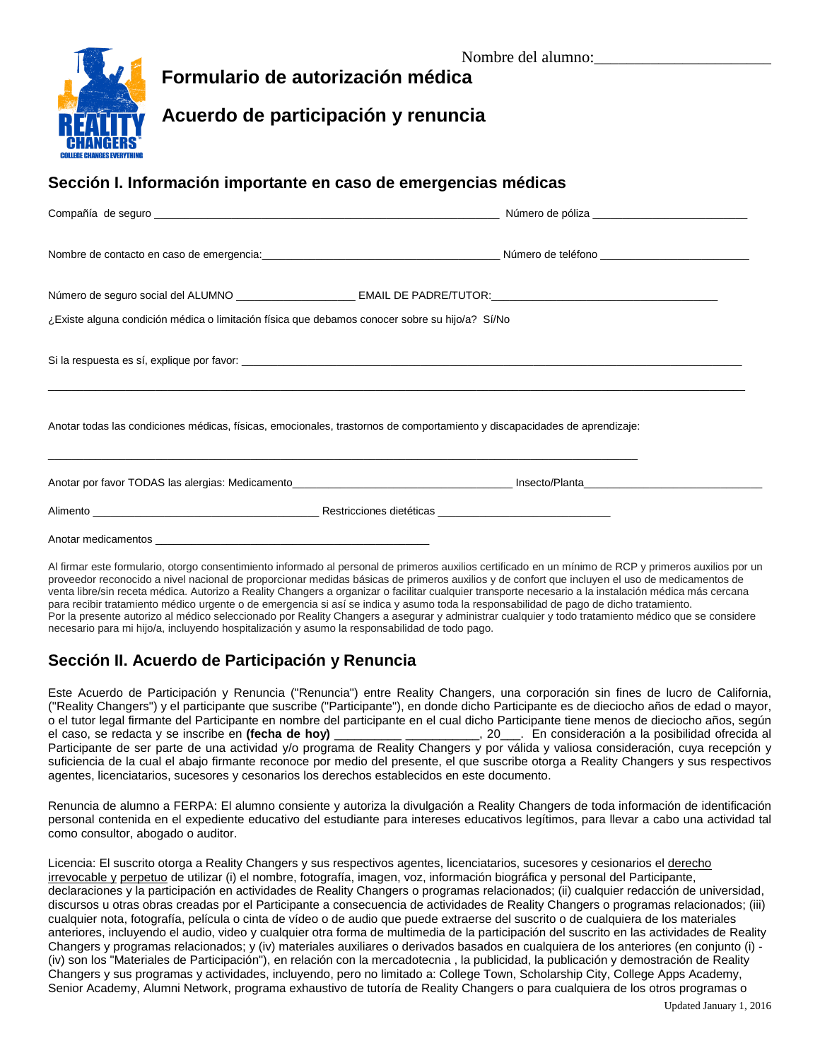

# **Formulario de autorización médica**

## **Acuerdo de participación y renuncia**

### **Sección I. Información importante en caso de emergencias médicas**

| Nombre de contacto en caso de emergencia: en el producto de teléfono en el producto de teléfono en el producto                                                                     |  |  |  |  |
|------------------------------------------------------------------------------------------------------------------------------------------------------------------------------------|--|--|--|--|
|                                                                                                                                                                                    |  |  |  |  |
| ¿Existe alguna condición médica o limitación física que debamos conocer sobre su hijo/a? Sí/No                                                                                     |  |  |  |  |
|                                                                                                                                                                                    |  |  |  |  |
| Anotar todas las condiciones médicas, físicas, emocionales, trastornos de comportamiento y discapacidades de aprendizaje:<br><u> 1980 - Johann Stoff, fransk politik (f. 1980)</u> |  |  |  |  |
|                                                                                                                                                                                    |  |  |  |  |
|                                                                                                                                                                                    |  |  |  |  |
|                                                                                                                                                                                    |  |  |  |  |

Al firmar este formulario, otorgo consentimiento informado al personal de primeros auxilios certificado en un mínimo de RCP y primeros auxilios por un proveedor reconocido a nivel nacional de proporcionar medidas básicas de primeros auxilios y de confort que incluyen el uso de medicamentos de venta libre/sin receta médica. Autorizo a Reality Changers a organizar o facilitar cualquier transporte necesario a la instalación médica más cercana para recibir tratamiento médico urgente o de emergencia si así se indica y asumo toda la responsabilidad de pago de dicho tratamiento. Por la presente autorizo al médico seleccionado por Reality Changers a asegurar y administrar cualquier y todo tratamiento médico que se considere necesario para mi hijo/a, incluyendo hospitalización y asumo la responsabilidad de todo pago.

## **Sección II. Acuerdo de Participación y Renuncia**

Este Acuerdo de Participación y Renuncia ("Renuncia") entre Reality Changers, una corporación sin fines de lucro de California, ("Reality Changers") y el participante que suscribe ("Participante"), en donde dicho Participante es de dieciocho años de edad o mayor, o el tutor legal firmante del Participante en nombre del participante en el cual dicho Participante tiene menos de dieciocho años, según el caso, se redacta y se inscribe en **(fecha de hoy)** \_\_\_\_\_\_\_\_\_\_ \_\_\_\_\_\_\_\_\_\_\_, 20\_\_\_. En consideración a la posibilidad ofrecida al Participante de ser parte de una actividad y/o programa de Reality Changers y por válida y valiosa consideración, cuya recepción y suficiencia de la cual el abajo firmante reconoce por medio del presente, el que suscribe otorga a Reality Changers y sus respectivos agentes, licenciatarios, sucesores y cesonarios los derechos establecidos en este documento.

Renuncia de alumno a FERPA: El alumno consiente y autoriza la divulgación a Reality Changers de toda información de identificación personal contenida en el expediente educativo del estudiante para intereses educativos legítimos, para llevar a cabo una actividad tal como consultor, abogado o auditor.

Licencia: El suscrito otorga a Reality Changers y sus respectivos agentes, licenciatarios, sucesores y cesionarios el derecho irrevocable y perpetuo de utilizar (i) el nombre, fotografía, imagen, voz, información biográfica y personal del Participante, declaraciones y la participación en actividades de Reality Changers o programas relacionados; (ii) cualquier redacción de universidad, discursos u otras obras creadas por el Participante a consecuencia de actividades de Reality Changers o programas relacionados; (iii) cualquier nota, fotografía, película o cinta de vídeo o de audio que puede extraerse del suscrito o de cualquiera de los materiales anteriores, incluyendo el audio, video y cualquier otra forma de multimedia de la participación del suscrito en las actividades de Reality Changers y programas relacionados; y (iv) materiales auxiliares o derivados basados en cualquiera de los anteriores (en conjunto (i) - (iv) son los "Materiales de Participación"), en relación con la mercadotecnia , la publicidad, la publicación y demostración de Reality Changers y sus programas y actividades, incluyendo, pero no limitado a: College Town, Scholarship City, College Apps Academy, Senior Academy, Alumni Network, programa exhaustivo de tutoría de Reality Changers o para cualquiera de los otros programas o